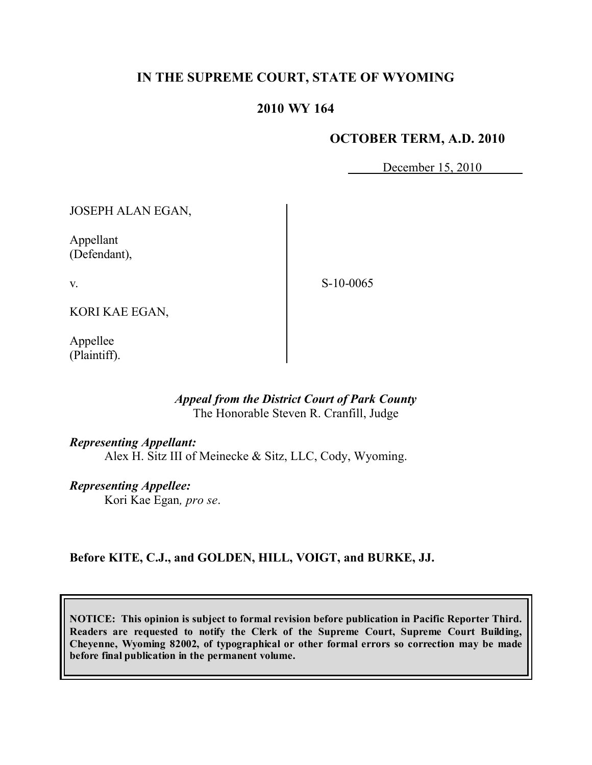# **IN THE SUPREME COURT, STATE OF WYOMING**

## **2010 WY 164**

### **OCTOBER TERM, A.D. 2010**

December 15, 2010

JOSEPH ALAN EGAN,

Appellant (Defendant),

S-10-0065

KORI KAE EGAN,

Appellee (Plaintiff).

v.

### *Appeal from the District Court of Park County* The Honorable Steven R. Cranfill, Judge

### *Representing Appellant:*

Alex H. Sitz III of Meinecke & Sitz, LLC, Cody, Wyoming.

## *Representing Appellee:*

Kori Kae Egan*, pro se*.

## **Before KITE, C.J., and GOLDEN, HILL, VOIGT, and BURKE, JJ.**

**NOTICE: This opinion is subject to formal revision before publication in Pacific Reporter Third. Readers are requested to notify the Clerk of the Supreme Court, Supreme Court Building, Cheyenne, Wyoming 82002, of typographical or other formal errors so correction may be made before final publication in the permanent volume.**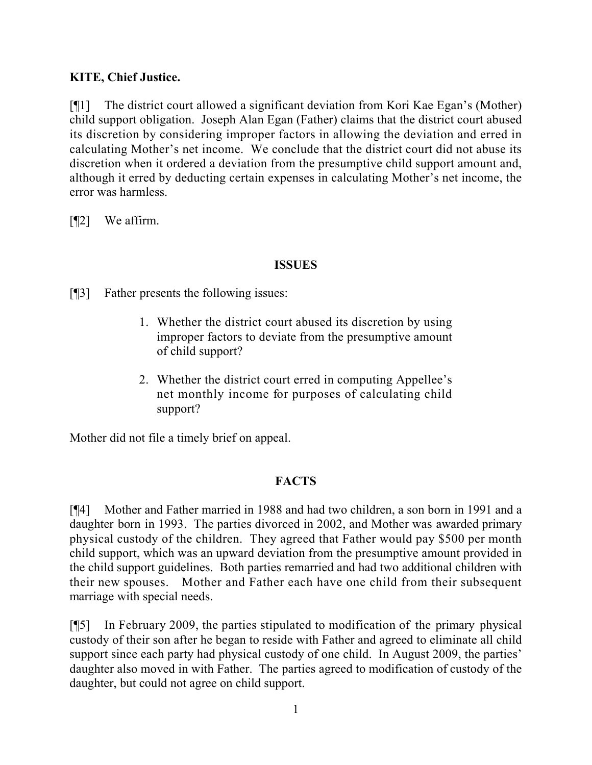## **KITE, Chief Justice.**

[¶1] The district court allowed a significant deviation from Kori Kae Egan's (Mother) child support obligation. Joseph Alan Egan (Father) claims that the district court abused its discretion by considering improper factors in allowing the deviation and erred in calculating Mother's net income. We conclude that the district court did not abuse its discretion when it ordered a deviation from the presumptive child support amount and, although it erred by deducting certain expenses in calculating Mother's net income, the error was harmless.

[¶2] We affirm.

## **ISSUES**

[¶3] Father presents the following issues:

- 1. Whether the district court abused its discretion by using improper factors to deviate from the presumptive amount of child support?
- 2. Whether the district court erred in computing Appellee's net monthly income for purposes of calculating child support?

Mother did not file a timely brief on appeal.

# **FACTS**

[¶4] Mother and Father married in 1988 and had two children, a son born in 1991 and a daughter born in 1993. The parties divorced in 2002, and Mother was awarded primary physical custody of the children. They agreed that Father would pay \$500 per month child support, which was an upward deviation from the presumptive amount provided in the child support guidelines. Both parties remarried and had two additional children with their new spouses. Mother and Father each have one child from their subsequent marriage with special needs.

[¶5] In February 2009, the parties stipulated to modification of the primary physical custody of their son after he began to reside with Father and agreed to eliminate all child support since each party had physical custody of one child. In August 2009, the parties' daughter also moved in with Father. The parties agreed to modification of custody of the daughter, but could not agree on child support.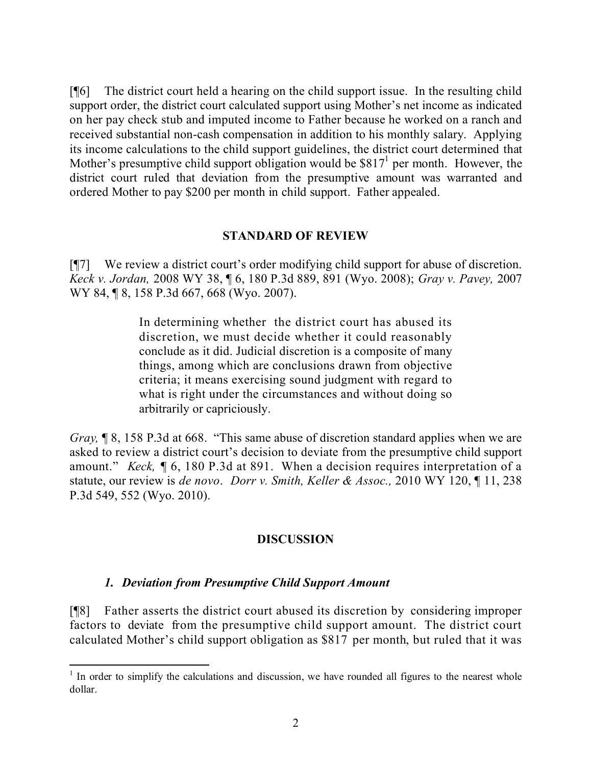[¶6] The district court held a hearing on the child support issue. In the resulting child support order, the district court calculated support using Mother's net income as indicated on her pay check stub and imputed income to Father because he worked on a ranch and received substantial non-cash compensation in addition to his monthly salary. Applying its income calculations to the child support guidelines, the district court determined that Mother's presumptive child support obligation would be  $$817<sup>1</sup>$  per month. However, the district court ruled that deviation from the presumptive amount was warranted and ordered Mother to pay \$200 per month in child support. Father appealed.

### **STANDARD OF REVIEW**

[¶7] We review a district court's order modifying child support for abuse of discretion. *Keck v. Jordan,* 2008 WY 38, ¶ 6, 180 P.3d 889, 891 (Wyo. 2008); *Gray v. Pavey,* 2007 WY 84, 18, 158 P.3d 667, 668 (Wyo. 2007).

> In determining whether the district court has abused its discretion, we must decide whether it could reasonably conclude as it did. Judicial discretion is a composite of many things, among which are conclusions drawn from objective criteria; it means exercising sound judgment with regard to what is right under the circumstances and without doing so arbitrarily or capriciously.

*Gray*, **[8, 158 P.3d at 668.** "This same abuse of discretion standard applies when we are asked to review a district court's decision to deviate from the presumptive child support amount." *Keck,* ¶ 6, 180 P.3d at 891. When a decision requires interpretation of a statute, our review is *de novo*. *Dorr v. Smith, Keller & Assoc.,* 2010 WY 120, ¶ 11, 238 P.3d 549, 552 (Wyo. 2010).

## **DISCUSSION**

## *1. Deviation from Presumptive Child Support Amount*

[¶8] Father asserts the district court abused its discretion by considering improper factors to deviate from the presumptive child support amount. The district court calculated Mother's child support obligation as \$817 per month, but ruled that it was

 $\overline{a}$  $<sup>1</sup>$  In order to simplify the calculations and discussion, we have rounded all figures to the nearest whole</sup> dollar.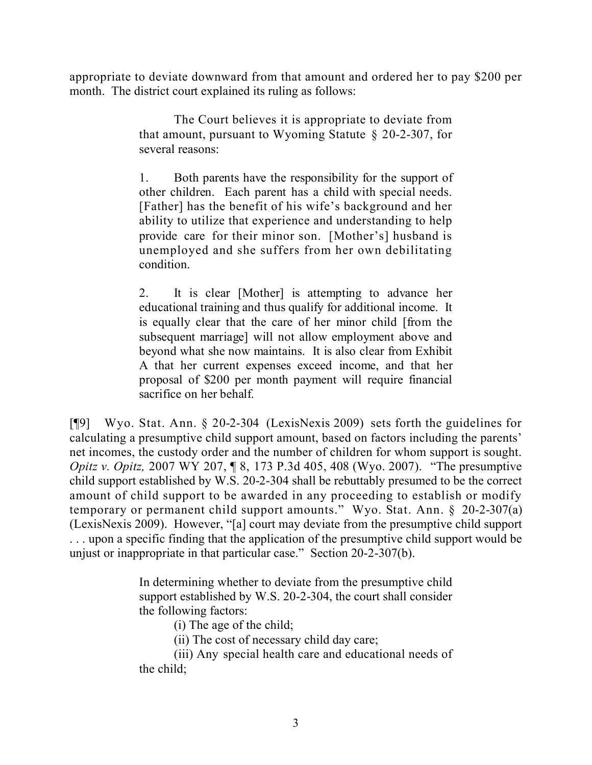appropriate to deviate downward from that amount and ordered her to pay \$200 per month. The district court explained its ruling as follows:

> The Court believes it is appropriate to deviate from that amount, pursuant to Wyoming Statute  $\S$  20-2-307, for several reasons:

> 1. Both parents have the responsibility for the support of other children. Each parent has a child with special needs. [Father] has the benefit of his wife's background and her ability to utilize that experience and understanding to help provide care for their minor son. [Mother's] husband is unemployed and she suffers from her own debilitating condition.

> 2. It is clear [Mother] is attempting to advance her educational training and thus qualify for additional income. It is equally clear that the care of her minor child [from the subsequent marriage] will not allow employment above and beyond what she now maintains. It is also clear from Exhibit A that her current expenses exceed income, and that her proposal of \$200 per month payment will require financial sacrifice on her behalf.

[¶9] Wyo. Stat. Ann. § 20-2-304 (LexisNexis 2009) sets forth the guidelines for calculating a presumptive child support amount, based on factors including the parents' net incomes, the custody order and the number of children for whom support is sought. *Opitz v. Opitz, 2007 WY 207,* ¶ 8, 173 P.3d 405, 408 (Wyo. 2007). "The presumptive child support established by W.S. 20-2-304 shall be rebuttably presumed to be the correct amount of child support to be awarded in any proceeding to establish or modify temporary or permanent child support amounts." Wyo. Stat. Ann. § 20-2-307(a) (LexisNexis 2009). However, "[a] court may deviate from the presumptive child support . . . upon a specific finding that the application of the presumptive child support would be unjust or inappropriate in that particular case." Section 20-2-307(b).

> In determining whether to deviate from the presumptive child support established by W.S. 20-2-304, the court shall consider the following factors:

(i) The age of the child;

(ii) The cost of necessary child day care;

(iii) Any special health care and educational needs of the child;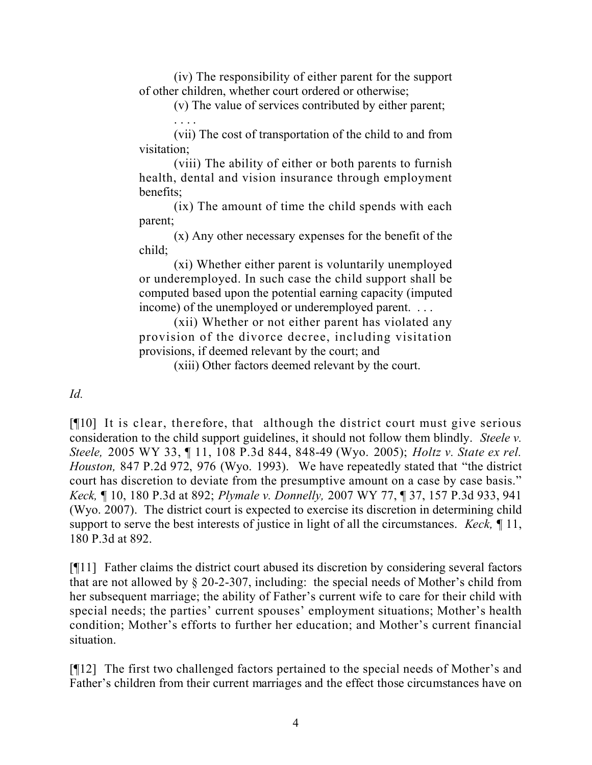(iv) The responsibility of either parent for the support of other children, whether court ordered or otherwise;

> (v) The value of services contributed by either parent; . . . .

(vii) The cost of transportation of the child to and from visitation;

(viii) The ability of either or both parents to furnish health, dental and vision insurance through employment benefits;

(ix) The amount of time the child spends with each parent;

(x) Any other necessary expenses for the benefit of the child;

(xi) Whether either parent is voluntarily unemployed or underemployed. In such case the child support shall be computed based upon the potential earning capacity (imputed income) of the unemployed or underemployed parent. . . .

(xii) Whether or not either parent has violated any provision of the divorce decree, including visitation provisions, if deemed relevant by the court; and

(xiii) Other factors deemed relevant by the court.

*Id.* 

[¶10] It is clear, therefore, that although the district court must give serious consideration to the child support guidelines, it should not follow them blindly. *Steele v. Steele,* 2005 WY 33, ¶ 11, 108 P.3d 844, 848-49 (Wyo. 2005); *Holtz v. State ex rel. Houston,* 847 P.2d 972, 976 (Wyo. 1993). We have repeatedly stated that "the district court has discretion to deviate from the presumptive amount on a case by case basis." *Keck,* ¶ 10, 180 P.3d at 892; *Plymale v. Donnelly,* 2007 WY 77, ¶ 37, 157 P.3d 933, 941 (Wyo. 2007). The district court is expected to exercise its discretion in determining child support to serve the best interests of justice in light of all the circumstances. *Keck,* ¶ 11, 180 P.3d at 892.

[¶11] Father claims the district court abused its discretion by considering several factors that are not allowed by § 20-2-307, including: the special needs of Mother's child from her subsequent marriage; the ability of Father's current wife to care for their child with special needs; the parties' current spouses' employment situations; Mother's health condition; Mother's efforts to further her education; and Mother's current financial situation.

[¶12] The first two challenged factors pertained to the special needs of Mother's and Father's children from their current marriages and the effect those circumstances have on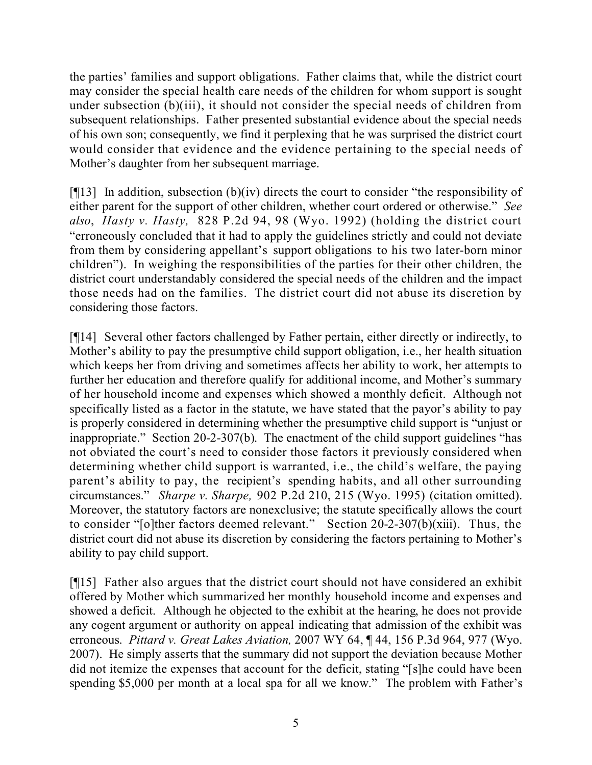the parties' families and support obligations. Father claims that, while the district court may consider the special health care needs of the children for whom support is sought under subsection (b)(iii), it should not consider the special needs of children from subsequent relationships. Father presented substantial evidence about the special needs of his own son; consequently, we find it perplexing that he was surprised the district court would consider that evidence and the evidence pertaining to the special needs of Mother's daughter from her subsequent marriage.

 $[913]$  In addition, subsection (b)(iv) directs the court to consider "the responsibility of either parent for the support of other children, whether court ordered or otherwise." *See also*, *Hasty v. Hasty,* 828 P.2d 94, 98 (Wyo. 1992) (holding the district court "erroneously concluded that it had to apply the guidelines strictly and could not deviate from them by considering appellant's support obligations to his two later-born minor children"). In weighing the responsibilities of the parties for their other children, the district court understandably considered the special needs of the children and the impact those needs had on the families. The district court did not abuse its discretion by considering those factors.

[¶14] Several other factors challenged by Father pertain, either directly or indirectly, to Mother's ability to pay the presumptive child support obligation, i.e., her health situation which keeps her from driving and sometimes affects her ability to work, her attempts to further her education and therefore qualify for additional income, and Mother's summary of her household income and expenses which showed a monthly deficit. Although not specifically listed as a factor in the statute, we have stated that the payor's ability to pay is properly considered in determining whether the presumptive child support is "unjust or inappropriate." Section 20-2-307(b). The enactment of the child support guidelines "has not obviated the court's need to consider those factors it previously considered when determining whether child support is warranted, i.e., the child's welfare, the paying parent's ability to pay, the recipient's spending habits, and all other surrounding circumstances." *Sharpe v. Sharpe,* 902 P.2d 210, 215 (Wyo. 1995) (citation omitted). Moreover, the statutory factors are nonexclusive; the statute specifically allows the court to consider "[o]ther factors deemed relevant." Section 20-2-307(b)(xiii). Thus, the district court did not abuse its discretion by considering the factors pertaining to Mother's ability to pay child support.

[¶15] Father also argues that the district court should not have considered an exhibit offered by Mother which summarized her monthly household income and expenses and showed a deficit. Although he objected to the exhibit at the hearing, he does not provide any cogent argument or authority on appeal indicating that admission of the exhibit was erroneous. *Pittard v. Great Lakes Aviation,* 2007 WY 64, ¶ 44, 156 P.3d 964, 977 (Wyo. 2007). He simply asserts that the summary did not support the deviation because Mother did not itemize the expenses that account for the deficit, stating "[s]he could have been spending \$5,000 per month at a local spa for all we know." The problem with Father's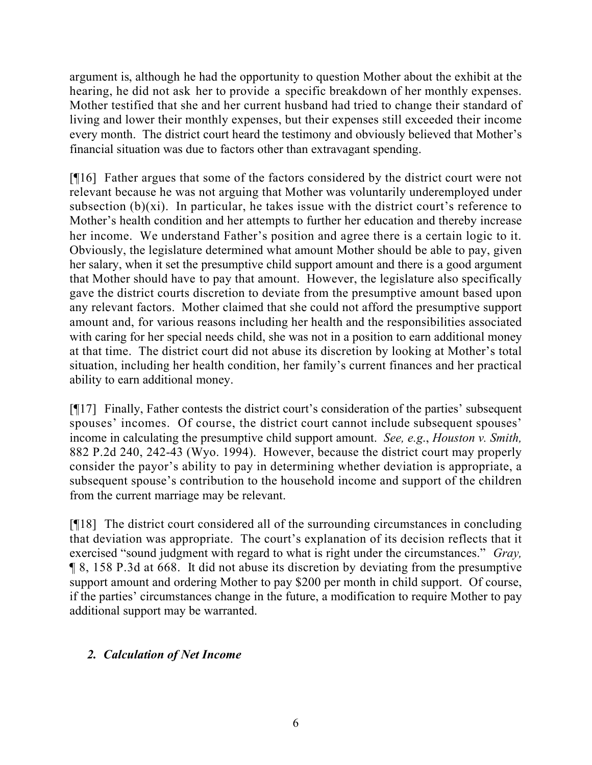argument is, although he had the opportunity to question Mother about the exhibit at the hearing, he did not ask her to provide a specific breakdown of her monthly expenses. Mother testified that she and her current husband had tried to change their standard of living and lower their monthly expenses, but their expenses still exceeded their income every month. The district court heard the testimony and obviously believed that Mother's financial situation was due to factors other than extravagant spending.

[¶16] Father argues that some of the factors considered by the district court were not relevant because he was not arguing that Mother was voluntarily underemployed under subsection  $(b)(xi)$ . In particular, he takes issue with the district court's reference to Mother's health condition and her attempts to further her education and thereby increase her income. We understand Father's position and agree there is a certain logic to it. Obviously, the legislature determined what amount Mother should be able to pay, given her salary, when it set the presumptive child support amount and there is a good argument that Mother should have to pay that amount. However, the legislature also specifically gave the district courts discretion to deviate from the presumptive amount based upon any relevant factors. Mother claimed that she could not afford the presumptive support amount and, for various reasons including her health and the responsibilities associated with caring for her special needs child, she was not in a position to earn additional money at that time. The district court did not abuse its discretion by looking at Mother's total situation, including her health condition, her family's current finances and her practical ability to earn additional money.

[¶17] Finally, Father contests the district court's consideration of the parties' subsequent spouses' incomes. Of course, the district court cannot include subsequent spouses' income in calculating the presumptive child support amount. *See, e.g*., *Houston v. Smith,*  882 P.2d 240, 242-43 (Wyo. 1994). However, because the district court may properly consider the payor's ability to pay in determining whether deviation is appropriate, a subsequent spouse's contribution to the household income and support of the children from the current marriage may be relevant.

[¶18] The district court considered all of the surrounding circumstances in concluding that deviation was appropriate. The court's explanation of its decision reflects that it exercised "sound judgment with regard to what is right under the circumstances." *Gray,*  ¶ 8, 158 P.3d at 668. It did not abuse its discretion by deviating from the presumptive support amount and ordering Mother to pay \$200 per month in child support. Of course, if the parties' circumstances change in the future, a modification to require Mother to pay additional support may be warranted.

# *2. Calculation of Net Income*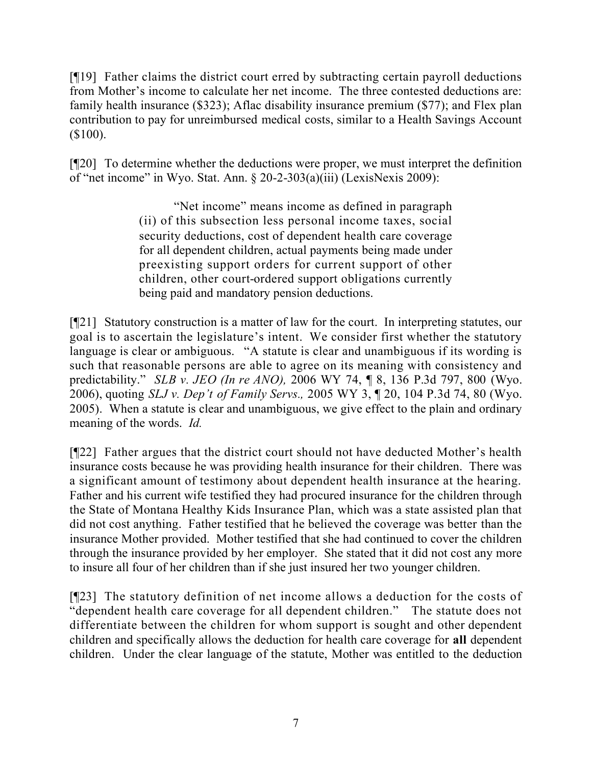[¶19] Father claims the district court erred by subtracting certain payroll deductions from Mother's income to calculate her net income. The three contested deductions are: family health insurance (\$323); Aflac disability insurance premium (\$77); and Flex plan contribution to pay for unreimbursed medical costs, similar to a Health Savings Account (\$100).

[¶20] To determine whether the deductions were proper, we must interpret the definition of "net income" in Wyo. Stat. Ann. § 20-2-303(a)(iii) (LexisNexis 2009):

> "Net income" means income as defined in paragraph (ii) of this subsection less personal income taxes, social security deductions, cost of dependent health care coverage for all dependent children, actual payments being made under preexisting support orders for current support of other children, other court-ordered support obligations currently being paid and mandatory pension deductions.

[¶21] Statutory construction is a matter of law for the court. In interpreting statutes, our goal is to ascertain the legislature's intent. We consider first whether the statutory language is clear or ambiguous. "A statute is clear and unambiguous if its wording is such that reasonable persons are able to agree on its meaning with consistency and predictability." *SLB v. JEO (In re ANO),* 2006 WY 74, ¶ 8, 136 P.3d 797, 800 (Wyo. 2006), quoting *SLJ v. Dep't of Family Servs.,* 2005 WY 3, ¶ 20, 104 P.3d 74, 80 (Wyo. 2005). When a statute is clear and unambiguous, we give effect to the plain and ordinary meaning of the words. *Id.* 

[¶22] Father argues that the district court should not have deducted Mother's health insurance costs because he was providing health insurance for their children. There was a significant amount of testimony about dependent health insurance at the hearing. Father and his current wife testified they had procured insurance for the children through the State of Montana Healthy Kids Insurance Plan, which was a state assisted plan that did not cost anything. Father testified that he believed the coverage was better than the insurance Mother provided. Mother testified that she had continued to cover the children through the insurance provided by her employer. She stated that it did not cost any more to insure all four of her children than if she just insured her two younger children.

[¶23] The statutory definition of net income allows a deduction for the costs of "dependent health care coverage for all dependent children." The statute does not differentiate between the children for whom support is sought and other dependent children and specifically allows the deduction for health care coverage for **all** dependent children. Under the clear language of the statute, Mother was entitled to the deduction